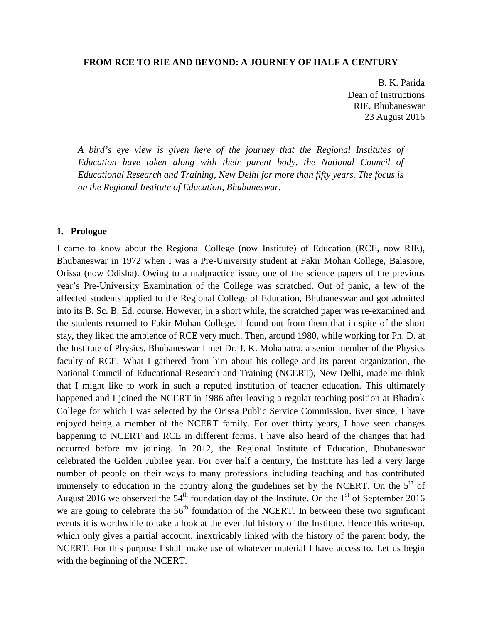#### **FROM RCE TO RIE AND BEYOND: A JOURNEY OF HALF A CENTURY**

B. K. Parida Dean of Instructions RIE, Bhubaneswar 23 August 2016

*A bird's eye view is given here of the journey that the Regional Institutes of Education have taken along with their parent body, the National Council of Educational Research and Training, New Delhi for more than fifty years. The focus is on the Regional Institute of Education, Bhubaneswar.*

#### **1. Prologue**

I came to know about the Regional College (now Institute) of Education (RCE, now RIE), Bhubaneswar in 1972 when I was a Pre-University student at Fakir Mohan College, Balasore, Orissa (now Odisha). Owing to a malpractice issue, one of the science papers of the previous year's Pre-University Examination of the College was scratched. Out of panic, a few of the affected students applied to the Regional College of Education, Bhubaneswar and got admitted into its B. Sc. B. Ed. course. However, in a short while, the scratched paper was re-examined and the students returned to Fakir Mohan College. I found out from them that in spite of the short stay, they liked the ambience of RCE very much. Then, around 1980, while working for Ph. D. at the Institute of Physics, Bhubaneswar I met Dr. J. K. Mohapatra, a senior member of the Physics faculty of RCE. What I gathered from him about his college and its parent organization, the National Council of Educational Research and Training (NCERT), New Delhi, made me think that I might like to work in such a reputed institution of teacher education. This ultimately happened and I joined the NCERT in 1986 after leaving a regular teaching position at Bhadrak College for which I was selected by the Orissa Public Service Commission. Ever since, I have enjoyed being a member of the NCERT family. For over thirty years, I have seen changes happening to NCERT and RCE in different forms. I have also heard of the changes that had occurred before my joining. In 2012, the Regional Institute of Education, Bhubaneswar celebrated the Golden Jubilee year. For over half a century, the Institute has led a very large number of people on their ways to many professions including teaching and has contributed immensely to education in the country along the guidelines set by the NCERT. On the  $5<sup>th</sup>$  of August 2016 we observed the  $54<sup>th</sup>$  foundation day of the Institute. On the 1<sup>st</sup> of September 2016 we are going to celebrate the  $56<sup>th</sup>$  foundation of the NCERT. In between these two significant events it is worthwhile to take a look at the eventful history of the Institute. Hence this write-up, which only gives a partial account, inextricably linked with the history of the parent body, the NCERT. For this purpose I shall make use of whatever material I have access to. Let us begin with the beginning of the NCERT.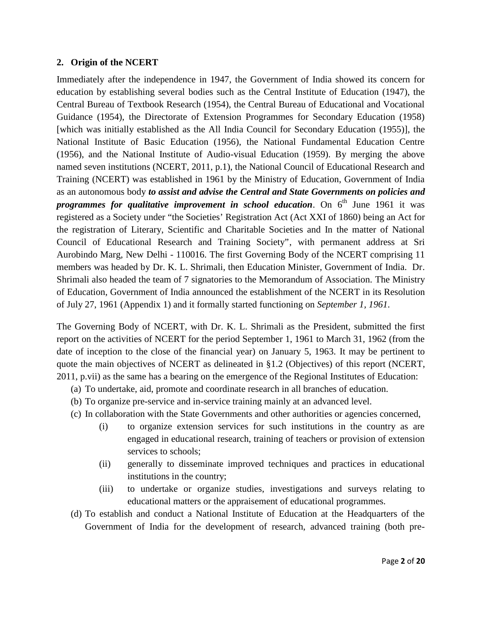#### **2. Origin of the NCERT**

Immediately after the independence in 1947, the Government of India showed its concern for education by establishing several bodies such as the Central Institute of Education (1947), the Central Bureau of Textbook Research (1954), the Central Bureau of Educational and Vocational Guidance (1954), the Directorate of Extension Programmes for Secondary Education (1958) [which was initially established as the All India Council for Secondary Education (1955)], the National Institute of Basic Education (1956), the National Fundamental Education Centre (1956), and the National Institute of Audio-visual Education (1959). By merging the above named seven institutions (NCERT, 2011, p.1), the National Council of Educational Research and Training (NCERT) was established in 1961 by the Ministry of Education, Government of India as an autonomous body *to assist and advise the Central and State Governments on policies and programmes for qualitative improvement in school education.* On 6<sup>th</sup> June 1961 it was registered as a Society under "the Societies' Registration Act (Act XXI of 1860) being an Act for the registration of Literary, Scientific and Charitable Societies and In the matter of National Council of Educational Research and Training Society", with permanent address at Sri Aurobindo Marg, New Delhi - 110016. The first Governing Body of the NCERT comprising 11 members was headed by Dr. K. L. Shrimali, then Education Minister, Government of India. Dr. Shrimali also headed the team of 7 signatories to the Memorandum of Association. The Ministry of Education, Government of India announced the establishment of the NCERT in its Resolution of July 27, 1961 (Appendix 1) and it formally started functioning on *September 1, 1961*.

The Governing Body of NCERT, with Dr. K. L. Shrimali as the President, submitted the first report on the activities of NCERT for the period September 1, 1961 to March 31, 1962 (from the date of inception to the close of the financial year) on January 5, 1963. It may be pertinent to quote the main objectives of NCERT as delineated in §1.2 (Objectives) of this report (NCERT, 2011, p.vii) as the same has a bearing on the emergence of the Regional Institutes of Education:

- (a) To undertake, aid, promote and coordinate research in all branches of education.
- (b) To organize pre-service and in-service training mainly at an advanced level.
- (c) In collaboration with the State Governments and other authorities or agencies concerned,
	- (i) to organize extension services for such institutions in the country as are engaged in educational research, training of teachers or provision of extension services to schools;
	- (ii) generally to disseminate improved techniques and practices in educational institutions in the country;
	- (iii) to undertake or organize studies, investigations and surveys relating to educational matters or the appraisement of educational programmes.
- (d) To establish and conduct a National Institute of Education at the Headquarters of the Government of India for the development of research, advanced training (both pre-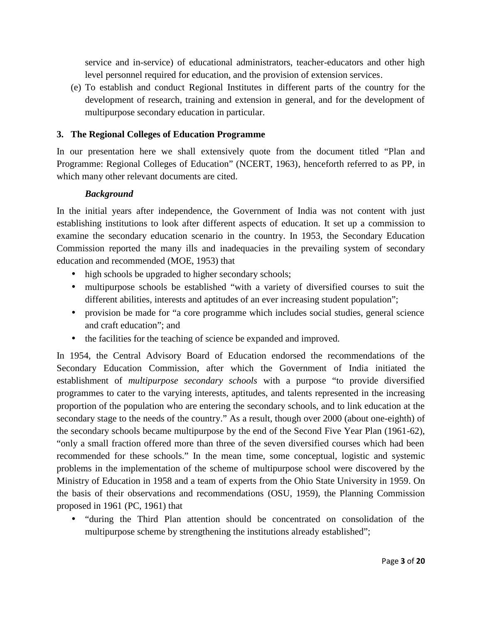service and in-service) of educational administrators, teacher-educators and other high level personnel required for education, and the provision of extension services.

(e) To establish and conduct Regional Institutes in different parts of the country for the development of research, training and extension in general, and for the development of multipurpose secondary education in particular.

# **3. The Regional Colleges of Education Programme**

In our presentation here we shall extensively quote from the document titled "Plan and Programme: Regional Colleges of Education" (NCERT, 1963), henceforth referred to as PP, in which many other relevant documents are cited.

# *Background*

In the initial years after independence, the Government of India was not content with just establishing institutions to look after different aspects of education. It set up a commission to examine the secondary education scenario in the country. In 1953, the Secondary Education Commission reported the many ills and inadequacies in the prevailing system of secondary education and recommended (MOE, 1953) that

- high schools be upgraded to higher secondary schools;
- multipurpose schools be established "with a variety of diversified courses to suit the different abilities, interests and aptitudes of an ever increasing student population";
- provision be made for "a core programme which includes social studies, general science and craft education"; and
- the facilities for the teaching of science be expanded and improved.

In 1954, the Central Advisory Board of Education endorsed the recommendations of the Secondary Education Commission, after which the Government of India initiated the establishment of *multipurpose secondary schools* with a purpose "to provide diversified programmes to cater to the varying interests, aptitudes, and talents represented in the increasing proportion of the population who are entering the secondary schools, and to link education at the secondary stage to the needs of the country." As a result, though over 2000 (about one-eighth) of the secondary schools became multipurpose by the end of the Second Five Year Plan (1961-62), "only a small fraction offered more than three of the seven diversified courses which had been recommended for these schools." In the mean time, some conceptual, logistic and systemic problems in the implementation of the scheme of multipurpose school were discovered by the Ministry of Education in 1958 and a team of experts from the Ohio State University in 1959. On the basis of their observations and recommendations (OSU, 1959), the Planning Commission proposed in 1961 (PC, 1961) that

 "during the Third Plan attention should be concentrated on consolidation of the multipurpose scheme by strengthening the institutions already established";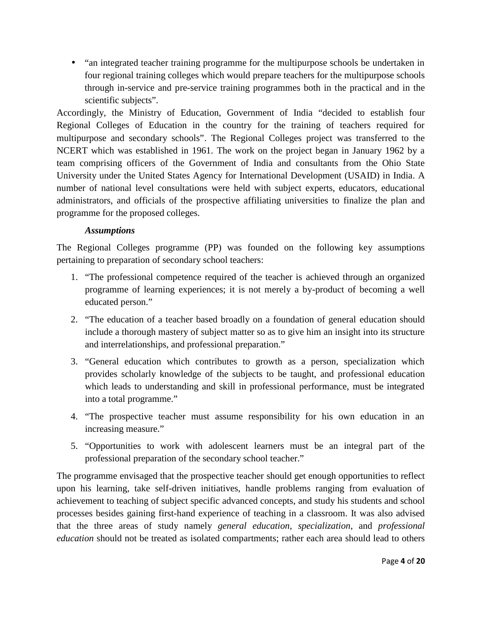• "an integrated teacher training programme for the multipurpose schools be undertaken in four regional training colleges which would prepare teachers for the multipurpose schools through in-service and pre-service training programmes both in the practical and in the scientific subjects".

Accordingly, the Ministry of Education, Government of India "decided to establish four Regional Colleges of Education in the country for the training of teachers required for multipurpose and secondary schools". The Regional Colleges project was transferred to the NCERT which was established in 1961. The work on the project began in January 1962 by a team comprising officers of the Government of India and consultants from the Ohio State University under the United States Agency for International Development (USAID) in India. A number of national level consultations were held with subject experts, educators, educational administrators, and officials of the prospective affiliating universities to finalize the plan and programme for the proposed colleges.

# *Assumptions*

The Regional Colleges programme (PP) was founded on the following key assumptions pertaining to preparation of secondary school teachers:

- 1. "The professional competence required of the teacher is achieved through an organized programme of learning experiences; it is not merely a by-product of becoming a well educated person."
- 2. "The education of a teacher based broadly on a foundation of general education should include a thorough mastery of subject matter so as to give him an insight into its structure and interrelationships, and professional preparation."
- 3. "General education which contributes to growth as a person, specialization which provides scholarly knowledge of the subjects to be taught, and professional education which leads to understanding and skill in professional performance, must be integrated into a total programme."
- 4. "The prospective teacher must assume responsibility for his own education in an increasing measure."
- 5. "Opportunities to work with adolescent learners must be an integral part of the professional preparation of the secondary school teacher."

The programme envisaged that the prospective teacher should get enough opportunities to reflect upon his learning, take self-driven initiatives, handle problems ranging from evaluation of achievement to teaching of subject specific advanced concepts, and study his students and school processes besides gaining first-hand experience of teaching in a classroom. It was also advised that the three areas of study namely *general education*, *specialization*, and *professional education* should not be treated as isolated compartments; rather each area should lead to others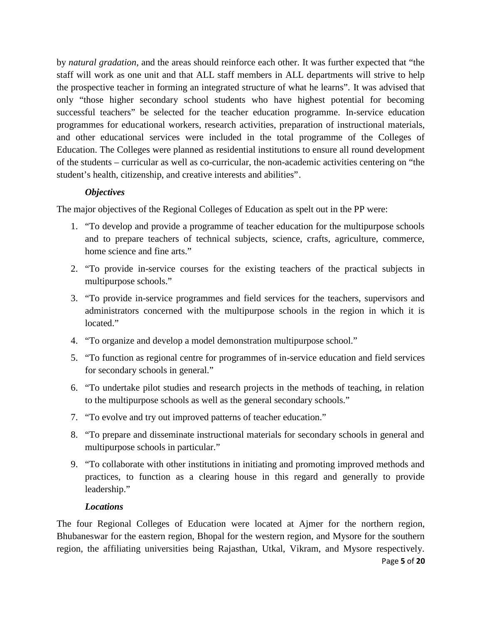by *natural gradation*, and the areas should reinforce each other. It was further expected that "the staff will work as one unit and that ALL staff members in ALL departments will strive to help the prospective teacher in forming an integrated structure of what he learns". It was advised that only "those higher secondary school students who have highest potential for becoming successful teachers" be selected for the teacher education programme. In-service education programmes for educational workers, research activities, preparation of instructional materials, and other educational services were included in the total programme of the Colleges of Education. The Colleges were planned as residential institutions to ensure all round development of the students – curricular as well as co-curricular, the non-academic activities centering on "the student's health, citizenship, and creative interests and abilities".

# *Objectives*

The major objectives of the Regional Colleges of Education as spelt out in the PP were:

- 1. "To develop and provide a programme of teacher education for the multipurpose schools and to prepare teachers of technical subjects, science, crafts, agriculture, commerce, home science and fine arts."
- 2. "To provide in-service courses for the existing teachers of the practical subjects in multipurpose schools."
- 3. "To provide in-service programmes and field services for the teachers, supervisors and administrators concerned with the multipurpose schools in the region in which it is located."
- 4. "To organize and develop a model demonstration multipurpose school."
- 5. "To function as regional centre for programmes of in-service education and field services for secondary schools in general."
- 6. "To undertake pilot studies and research projects in the methods of teaching, in relation to the multipurpose schools as well as the general secondary schools."
- 7. "To evolve and try out improved patterns of teacher education."
- 8. "To prepare and disseminate instructional materials for secondary schools in general and multipurpose schools in particular."
- 9. "To collaborate with other institutions in initiating and promoting improved methods and practices, to function as a clearing house in this regard and generally to provide leadership."

# *Locations*

The four Regional Colleges of Education were located at Ajmer for the northern region, Bhubaneswar for the eastern region, Bhopal for the western region, and Mysore for the southern region, the affiliating universities being Rajasthan, Utkal, Vikram, and Mysore respectively.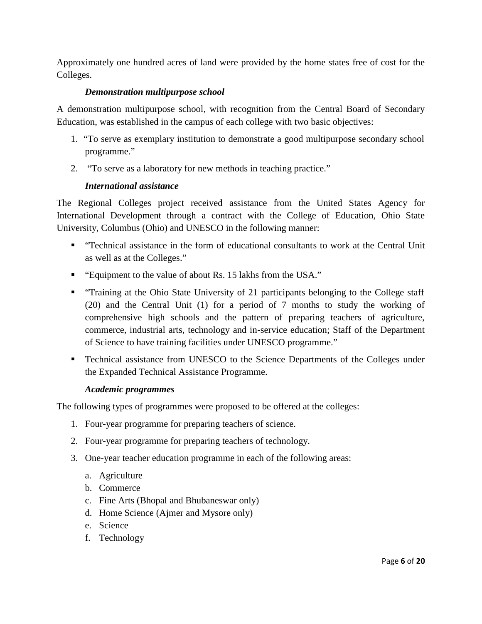Approximately one hundred acres of land were provided by the home states free of cost for the Colleges.

# *Demonstration multipurpose school*

A demonstration multipurpose school, with recognition from the Central Board of Secondary Education, was established in the campus of each college with two basic objectives:

- 1. "To serve as exemplary institution to demonstrate a good multipurpose secondary school programme."
- 2. "To serve as a laboratory for new methods in teaching practice."

# *International assistance*

The Regional Colleges project received assistance from the United States Agency for International Development through a contract with the College of Education, Ohio State University, Columbus (Ohio) and UNESCO in the following manner:

- "Technical assistance in the form of educational consultants to work at the Central Unit as well as at the Colleges."
- "Equipment to the value of about Rs. 15 lakhs from the USA."
- "Training at the Ohio State University of 21 participants belonging to the College staff (20) and the Central Unit (1) for a period of 7 months to study the working of comprehensive high schools and the pattern of preparing teachers of agriculture, commerce, industrial arts, technology and in-service education; Staff of the Department of Science to have training facilities under UNESCO programme."
- **Technical assistance from UNESCO to the Science Departments of the Colleges under** the Expanded Technical Assistance Programme.

# *Academic programmes*

The following types of programmes were proposed to be offered at the colleges:

- 1. Four-year programme for preparing teachers of science.
- 2. Four-year programme for preparing teachers of technology.
- 3. One-year teacher education programme in each of the following areas:
	- a. Agriculture
	- b. Commerce
	- c. Fine Arts (Bhopal and Bhubaneswar only)
	- d. Home Science (Ajmer and Mysore only)
	- e. Science
	- f. Technology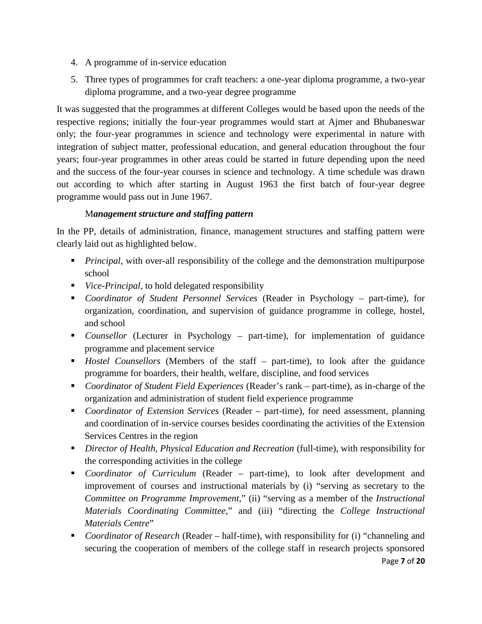- 4. A programme of in-service education
- 5. Three types of programmes for craft teachers: a one-year diploma programme, a two-year diploma programme, and a two-year degree programme

It was suggested that the programmes at different Colleges would be based upon the needs of the respective regions; initially the four-year programmes would start at Ajmer and Bhubaneswar only; the four-year programmes in science and technology were experimental in nature with integration of subject matter, professional education, and general education throughout the four years; four-year programmes in other areas could be started in future depending upon the need and the success of the four-year courses in science and technology. A time schedule was drawn out according to which after starting in August 1963 the first batch of four-year degree programme would pass out in June 1967.

# M*anagement structure and staffing pattern*

In the PP, details of administration, finance, management structures and staffing pattern were clearly laid out as highlighted below.

- **Principal**, with over-all responsibility of the college and the demonstration multipurpose school
- *Vice-Principal*, to hold delegated responsibility
- *Coordinator of Student Personnel Services* (Reader in Psychology part-time), for organization, coordination, and supervision of guidance programme in college, hostel, and school
- *Counsellor* (Lecturer in Psychology part-time), for implementation of guidance programme and placement service
- *Hostel Counsellors* (Members of the staff part-time), to look after the guidance programme for boarders, their health, welfare, discipline, and food services
- *Coordinator of Student Field Experiences* (Reader's rank part-time), as in-charge of the organization and administration of student field experience programme
- *Coordinator of Extension Services* (Reader part-time), for need assessment, planning and coordination of in-service courses besides coordinating the activities of the Extension Services Centres in the region
- *Director of Health, Physical Education and Recreation* (full-time), with responsibility for the corresponding activities in the college
- *Coordinator of Curriculum* (Reader part-time), to look after development and improvement of courses and instructional materials by (i) "serving as secretary to the *Committee on Programme Improvement*," (ii) "serving as a member of the *Instructional Materials Coordinating Committee*," and (iii) "directing the *College Instructional Materials Centre*"
- *Coordinator of Research* (Reader half-time), with responsibility for (i) "channeling and securing the cooperation of members of the college staff in research projects sponsored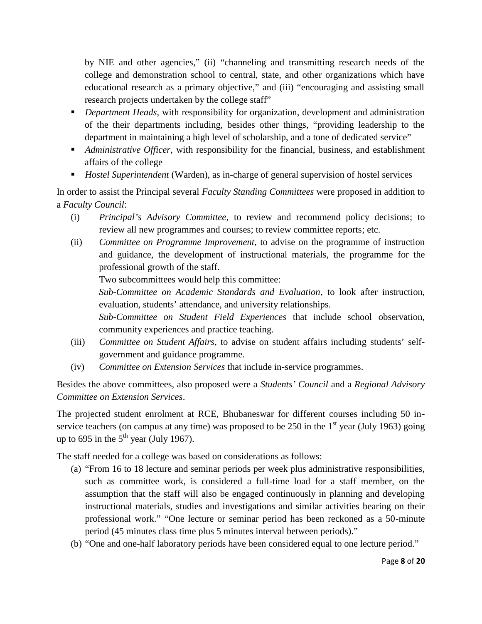by NIE and other agencies," (ii) "channeling and transmitting research needs of the college and demonstration school to central, state, and other organizations which have educational research as a primary objective," and (iii) "encouraging and assisting small research projects undertaken by the college staff"

- *Department Heads*, with responsibility for organization, development and administration of the their departments including, besides other things, "providing leadership to the department in maintaining a high level of scholarship, and a tone of dedicated service"
- *Administrative Officer*, with responsibility for the financial, business, and establishment affairs of the college
- *Hostel Superintendent* (Warden), as in-charge of general supervision of hostel services

In order to assist the Principal several *Faculty Standing Committees* were proposed in addition to a *Faculty Council*:

- (i) *Principal's Advisory Committee*, to review and recommend policy decisions; to review all new programmes and courses; to review committee reports; etc.
- (ii) *Committee on Programme Improvement*, to advise on the programme of instruction and guidance, the development of instructional materials, the programme for the professional growth of the staff.

Two subcommittees would help this committee:

*Sub-Committee on Academic Standards and Evaluation*, to look after instruction, evaluation, students' attendance, and university relationships.

*Sub-Committee on Student Field Experiences* that include school observation, community experiences and practice teaching.

- (iii) *Committee on Student Affairs*, to advise on student affairs including students' self government and guidance programme.
- (iv) *Committee on Extension Services* that include in-service programmes.

Besides the above committees, also proposed were a *Students' Council* and a *Regional Advisory Committee on Extension Services*.

The projected student enrolment at RCE, Bhubaneswar for different courses including 50 in service teachers (on campus at any time) was proposed to be 250 in the  $1<sup>st</sup>$  year (July 1963) going up to 695 in the  $5<sup>th</sup>$  year (July 1967).

The staff needed for a college was based on considerations as follows:

- (a) "From 16 to 18 lecture and seminar periods per week plus administrative responsibilities, such as committee work, is considered a full-time load for a staff member, on the assumption that the staff will also be engaged continuously in planning and developing instructional materials, studies and investigations and similar activities bearing on their professional work." "One lecture or seminar period has been reckoned as a 50-minute period (45 minutes class time plus 5 minutes interval between periods)."
- (b) "One and one-half laboratory periods have been considered equal to one lecture period."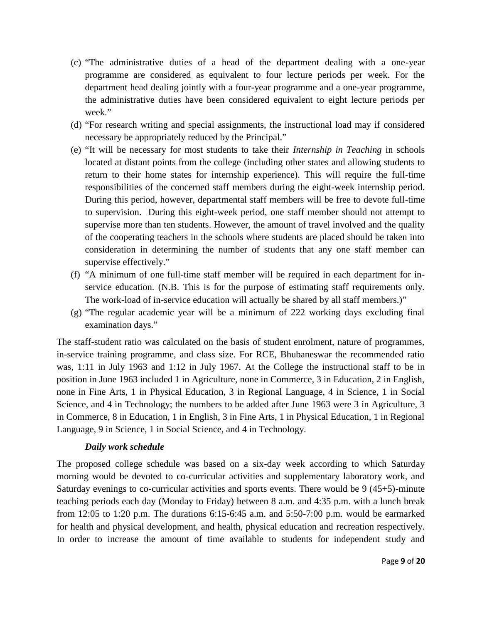- (c) "The administrative duties of a head of the department dealing with a one-year programme are considered as equivalent to four lecture periods per week. For the department head dealing jointly with a four-year programme and a one-year programme, the administrative duties have been considered equivalent to eight lecture periods per week."
- (d) "For research writing and special assignments, the instructional load may if considered necessary be appropriately reduced by the Principal."
- (e) "It will be necessary for most students to take their *Internship in Teaching* in schools located at distant points from the college (including other states and allowing students to return to their home states for internship experience). This will require the full-time responsibilities of the concerned staff members during the eight-week internship period. During this period, however, departmental staff members will be free to devote full-time to supervision. During this eight-week period, one staff member should not attempt to supervise more than ten students. However, the amount of travel involved and the quality of the cooperating teachers in the schools where students are placed should be taken into consideration in determining the number of students that any one staff member can supervise effectively."
- (f) "A minimum of one full-time staff member will be required in each department for in service education. (N.B. This is for the purpose of estimating staff requirements only. The work-load of in-service education will actually be shared by all staff members.)"
- (g) "The regular academic year will be a minimum of 222 working days excluding final examination days."

The staff-student ratio was calculated on the basis of student enrolment, nature of programmes, in-service training programme, and class size. For RCE, Bhubaneswar the recommended ratio was, 1:11 in July 1963 and 1:12 in July 1967. At the College the instructional staff to be in position in June 1963 included 1 in Agriculture, none in Commerce, 3 in Education, 2 in English, none in Fine Arts, 1 in Physical Education, 3 in Regional Language, 4 in Science, 1 in Social Science, and 4 in Technology; the numbers to be added after June 1963 were 3 in Agriculture, 3 in Commerce, 8 in Education, 1 in English, 3 in Fine Arts, 1 in Physical Education, 1 in Regional Language, 9 in Science, 1 in Social Science, and 4 in Technology.

# *Daily work schedule*

The proposed college schedule was based on a six-day week according to which Saturday morning would be devoted to co-curricular activities and supplementary laboratory work, and Saturday evenings to co-curricular activities and sports events. There would be 9 (45+5)-minute teaching periods each day (Monday to Friday) between 8 a.m. and 4:35 p.m. with a lunch break from 12:05 to 1:20 p.m. The durations 6:15-6:45 a.m. and 5:50-7:00 p.m. would be earmarked for health and physical development, and health, physical education and recreation respectively. In order to increase the amount of time available to students for independent study and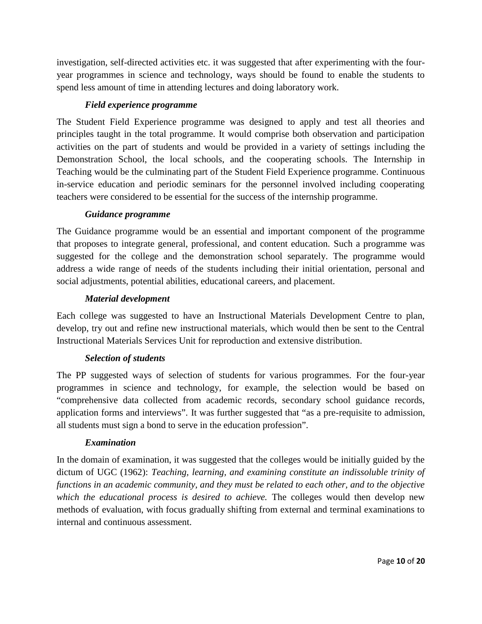investigation, self-directed activities etc. it was suggested that after experimenting with the four year programmes in science and technology, ways should be found to enable the students to spend less amount of time in attending lectures and doing laboratory work.

# *Field experience programme*

The Student Field Experience programme was designed to apply and test all theories and principles taught in the total programme. It would comprise both observation and participation activities on the part of students and would be provided in a variety of settings including the Demonstration School, the local schools, and the cooperating schools. The Internship in Teaching would be the culminating part of the Student Field Experience programme. Continuous in-service education and periodic seminars for the personnel involved including cooperating teachers were considered to be essential for the success of the internship programme.

# *Guidance programme*

The Guidance programme would be an essential and important component of the programme that proposes to integrate general, professional, and content education. Such a programme was suggested for the college and the demonstration school separately. The programme would address a wide range of needs of the students including their initial orientation, personal and social adjustments, potential abilities, educational careers, and placement.

# *Material development*

Each college was suggested to have an Instructional Materials Development Centre to plan, develop, try out and refine new instructional materials, which would then be sent to the Central Instructional Materials Services Unit for reproduction and extensive distribution.

# *Selection of students*

The PP suggested ways of selection of students for various programmes. For the four-year programmes in science and technology, for example, the selection would be based on "comprehensive data collected from academic records, secondary school guidance records, application forms and interviews". It was further suggested that "as a pre-requisite to admission, all students must sign a bond to serve in the education profession".

# *Examination*

In the domain of examination, it was suggested that the colleges would be initially guided by the dictum of UGC (1962): *Teaching, learning, and examining constitute an indissoluble trinity of functions in an academic community, and they must be related to each other, and to the objective which the educational process is desired to achieve.* The colleges would then develop new methods of evaluation, with focus gradually shifting from external and terminal examinations to internal and continuous assessment.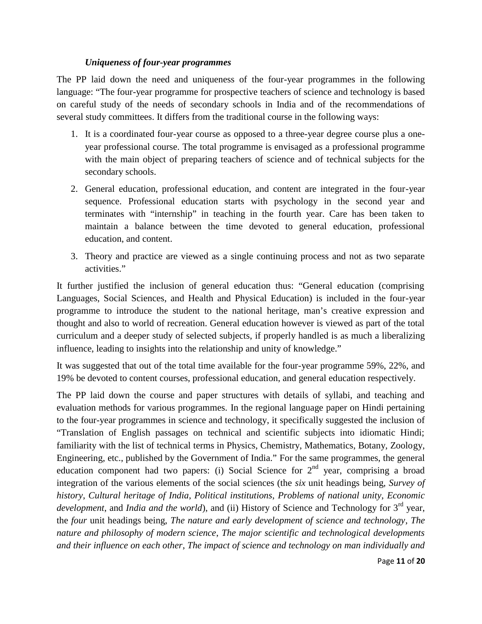#### *Uniqueness of four-year programmes*

The PP laid down the need and uniqueness of the four-year programmes in the following language: "The four-year programme for prospective teachers of science and technology is based on careful study of the needs of secondary schools in India and of the recommendations of several study committees. It differs from the traditional course in the following ways:

- 1. It is a coordinated four-year course as opposed to a three-year degree course plus a one year professional course. The total programme is envisaged as a professional programme with the main object of preparing teachers of science and of technical subjects for the secondary schools.
- 2. General education, professional education, and content are integrated in the four-year sequence. Professional education starts with psychology in the second year and terminates with "internship" in teaching in the fourth year. Care has been taken to maintain a balance between the time devoted to general education, professional education, and content.
- 3. Theory and practice are viewed as a single continuing process and not as two separate activities."

It further justified the inclusion of general education thus: "General education (comprising Languages, Social Sciences, and Health and Physical Education) is included in the four-year programme to introduce the student to the national heritage, man's creative expression and thought and also to world of recreation. General education however is viewed as part of the total curriculum and a deeper study of selected subjects, if properly handled is as much a liberalizing influence, leading to insights into the relationship and unity of knowledge."

It was suggested that out of the total time available for the four-year programme 59%, 22%, and 19% be devoted to content courses, professional education, and general education respectively.

The PP laid down the course and paper structures with details of syllabi, and teaching and evaluation methods for various programmes. In the regional language paper on Hindi pertaining to the four-year programmes in science and technology, it specifically suggested the inclusion of "Translation of English passages on technical and scientific subjects into idiomatic Hindi; familiarity with the list of technical terms in Physics, Chemistry, Mathematics, Botany, Zoology, Engineering, etc., published by the Government of India." For the same programmes, the general education component had two papers: (i) Social Science for 2<sup>nd</sup> year, comprising a broad integration of the various elements of the social sciences (the *six* unit headings being, *Survey of history*, *Cultural heritage of India*, *Political institutions*, *Problems of national unity*, *Economic development*, and *India and the world*), and (ii) History of Science and Technology for 3<sup>rd</sup> year, the *four* unit headings being, *The nature and early development of science and technology*, *The nature and philosophy of modern science*, *The major scientific and technological developments and their influence on each other*, *The impact of science and technology on man individually and*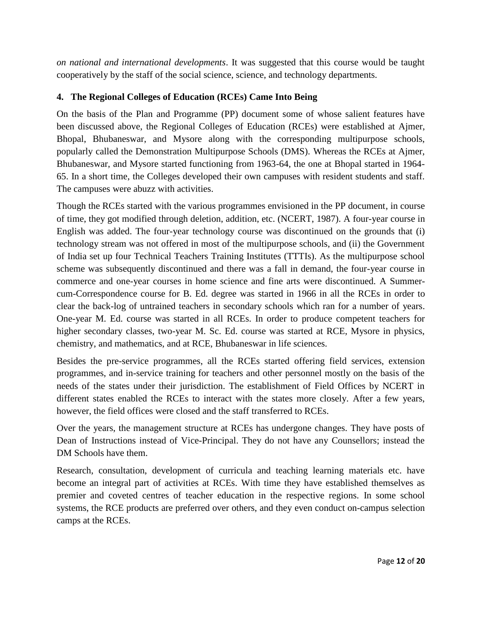*on national and international developments*. It was suggested that this course would be taught cooperatively by the staff of the social science, science, and technology departments.

# **4. The Regional Colleges of Education (RCEs) Came Into Being**

On the basis of the Plan and Programme (PP) document some of whose salient features have been discussed above, the Regional Colleges of Education (RCEs) were established at Ajmer, Bhopal, Bhubaneswar, and Mysore along with the corresponding multipurpose schools, popularly called the Demonstration Multipurpose Schools (DMS). Whereas the RCEs at Ajmer, Bhubaneswar, and Mysore started functioning from 1963-64, the one at Bhopal started in 1964- 65. In a short time, the Colleges developed their own campuses with resident students and staff. The campuses were abuzz with activities.

Though the RCEs started with the various programmes envisioned in the PP document, in course of time, they got modified through deletion, addition, etc. (NCERT, 1987). A four-year course in English was added. The four-year technology course was discontinued on the grounds that (i) technology stream was not offered in most of the multipurpose schools, and (ii) the Government of India set up four Technical Teachers Training Institutes (TTTIs). As the multipurpose school scheme was subsequently discontinued and there was a fall in demand, the four-year course in commerce and one-year courses in home science and fine arts were discontinued. A Summer cum-Correspondence course for B. Ed. degree was started in 1966 in all the RCEs in order to clear the back-log of untrained teachers in secondary schools which ran for a number of years. One-year M. Ed. course was started in all RCEs. In order to produce competent teachers for higher secondary classes, two-year M. Sc. Ed. course was started at RCE, Mysore in physics, chemistry, and mathematics, and at RCE, Bhubaneswar in life sciences.

Besides the pre-service programmes, all the RCEs started offering field services, extension programmes, and in-service training for teachers and other personnel mostly on the basis of the needs of the states under their jurisdiction. The establishment of Field Offices by NCERT in different states enabled the RCEs to interact with the states more closely. After a few years, however, the field offices were closed and the staff transferred to RCEs.

Over the years, the management structure at RCEs has undergone changes. They have posts of Dean of Instructions instead of Vice-Principal. They do not have any Counsellors; instead the DM Schools have them.

Research, consultation, development of curricula and teaching learning materials etc. have become an integral part of activities at RCEs. With time they have established themselves as premier and coveted centres of teacher education in the respective regions. In some school systems, the RCE products are preferred over others, and they even conduct on-campus selection camps at the RCEs.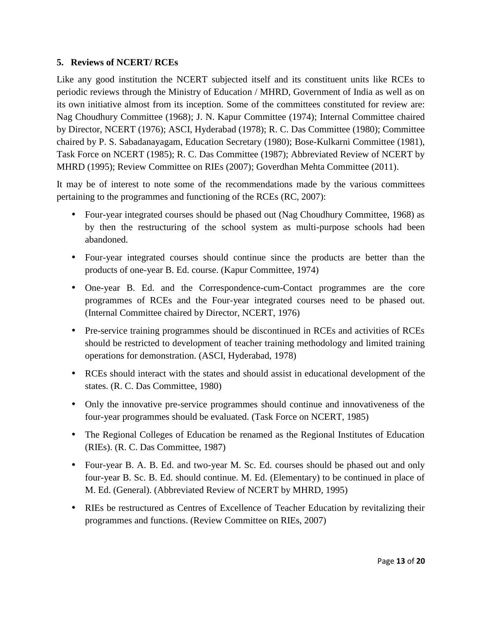#### **5. Reviews of NCERT/ RCEs**

Like any good institution the NCERT subjected itself and its constituent units like RCEs to periodic reviews through the Ministry of Education / MHRD, Government of India as well as on its own initiative almost from its inception. Some of the committees constituted for review are: Nag Choudhury Committee (1968); J. N. Kapur Committee (1974); Internal Committee chaired by Director, NCERT (1976); ASCI, Hyderabad (1978); R. C. Das Committee (1980); Committee chaired by P. S. Sabadanayagam, Education Secretary (1980); Bose-Kulkarni Committee (1981), Task Force on NCERT (1985); R. C. Das Committee (1987); Abbreviated Review of NCERT by MHRD (1995); Review Committee on RIEs (2007); Goverdhan Mehta Committee (2011).

It may be of interest to note some of the recommendations made by the various committees pertaining to the programmes and functioning of the RCEs (RC, 2007):

- Four-year integrated courses should be phased out (Nag Choudhury Committee, 1968) as by then the restructuring of the school system as multi-purpose schools had been abandoned.
- Four-year integrated courses should continue since the products are better than the products of one-year B. Ed. course. (Kapur Committee, 1974)
- One-year B. Ed. and the Correspondence-cum-Contact programmes are the core programmes of RCEs and the Four-year integrated courses need to be phased out. (Internal Committee chaired by Director, NCERT, 1976)
- Pre-service training programmes should be discontinued in RCEs and activities of RCEs should be restricted to development of teacher training methodology and limited training operations for demonstration. (ASCI, Hyderabad, 1978)
- RCEs should interact with the states and should assist in educational development of the states. (R. C. Das Committee, 1980)
- Only the innovative pre-service programmes should continue and innovativeness of the four-year programmes should be evaluated. (Task Force on NCERT, 1985)
- The Regional Colleges of Education be renamed as the Regional Institutes of Education (RIEs). (R. C. Das Committee, 1987)
- Four-year B. A. B. Ed. and two-year M. Sc. Ed. courses should be phased out and only four-year B. Sc. B. Ed. should continue. M. Ed. (Elementary) to be continued in place of M. Ed. (General). (Abbreviated Review of NCERT by MHRD, 1995)
- RIEs be restructured as Centres of Excellence of Teacher Education by revitalizing their programmes and functions. (Review Committee on RIEs, 2007)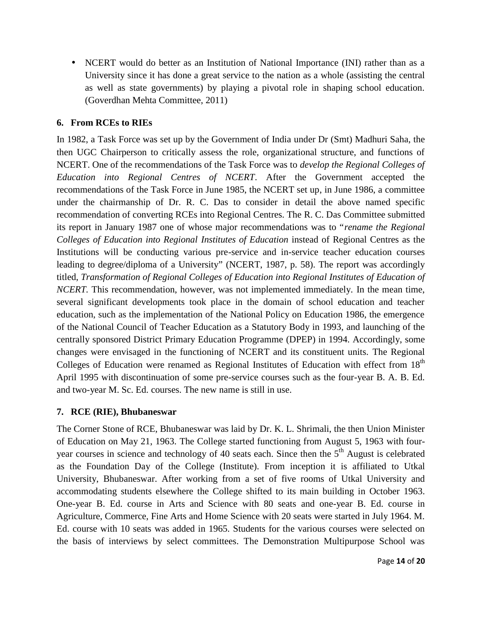• NCERT would do better as an Institution of National Importance (INI) rather than as a University since it has done a great service to the nation as a whole (assisting the central as well as state governments) by playing a pivotal role in shaping school education. (Goverdhan Mehta Committee, 2011)

# **6. From RCEs to RIEs**

In 1982, a Task Force was set up by the Government of India under Dr (Smt) Madhuri Saha, the then UGC Chairperson to critically assess the role, organizational structure, and functions of NCERT. One of the recommendations of the Task Force was to *develop the Regional Colleges of Education into Regional Centres of NCERT*. After the Government accepted the recommendations of the Task Force in June 1985, the NCERT set up, in June 1986, a committee under the chairmanship of Dr. R. C. Das to consider in detail the above named specific recommendation of converting RCEs into Regional Centres. The R. C. Das Committee submitted its report in January 1987 one of whose major recommendations was to "*rename the Regional Colleges of Education into Regional Institutes of Education* instead of Regional Centres as the Institutions will be conducting various pre-service and in-service teacher education courses leading to degree/diploma of a University" (NCERT, 1987, p. 58). The report was accordingly titled, *Transformation of Regional Colleges of Education into Regional Institutes of Education of NCERT.* This recommendation, however, was not implemented immediately. In the mean time, several significant developments took place in the domain of school education and teacher education, such as the implementation of the National Policy on Education 1986, the emergence of the National Council of Teacher Education as a Statutory Body in 1993, and launching of the centrally sponsored District Primary Education Programme (DPEP) in 1994. Accordingly, some changes were envisaged in the functioning of NCERT and its constituent units. The Regional Colleges of Education were renamed as Regional Institutes of Education with effect from 18<sup>th</sup> April 1995 with discontinuation of some pre-service courses such as the four-year B. A. B. Ed. and two-year M. Sc. Ed. courses. The new name is still in use.

# **7. RCE (RIE), Bhubaneswar**

The Corner Stone of RCE, Bhubaneswar was laid by Dr. K. L. Shrimali, the then Union Minister of Education on May 21, 1963. The College started functioning from August 5, 1963 with four year courses in science and technology of 40 seats each. Since then the 5<sup>th</sup> August is celebrated as the Foundation Day of the College (Institute). From inception it is affiliated to Utkal University, Bhubaneswar. After working from a set of five rooms of Utkal University and accommodating students elsewhere the College shifted to its main building in October 1963. One-year B. Ed. course in Arts and Science with 80 seats and one-year B. Ed. course in Agriculture, Commerce, Fine Arts and Home Science with 20 seats were started in July 1964. M. Ed. course with 10 seats was added in 1965. Students for the various courses were selected on the basis of interviews by select committees. The Demonstration Multipurpose School was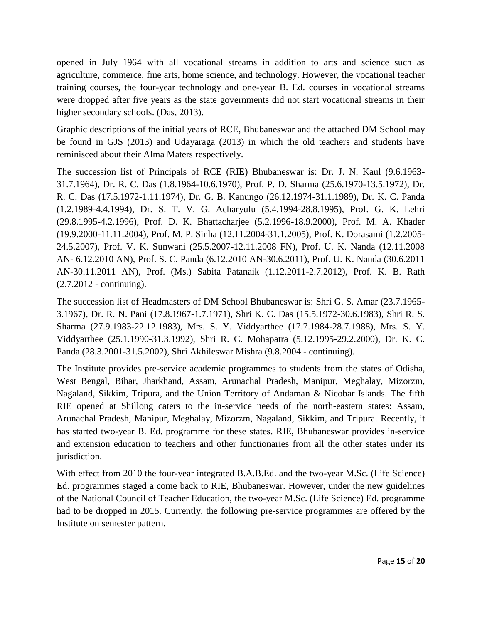opened in July 1964 with all vocational streams in addition to arts and science such as agriculture, commerce, fine arts, home science, and technology. However, the vocational teacher training courses, the four-year technology and one-year B. Ed. courses in vocational streams were dropped after five years as the state governments did not start vocational streams in their higher secondary schools. (Das, 2013).

Graphic descriptions of the initial years of RCE, Bhubaneswar and the attached DM School may be found in GJS (2013) and Udayaraga (2013) in which the old teachers and students have reminisced about their Alma Maters respectively.

The succession list of Principals of RCE (RIE) Bhubaneswar is: Dr. J. N. Kaul (9.6.1963- 31.7.1964), Dr. R. C. Das (1.8.1964-10.6.1970), Prof. P. D. Sharma (25.6.1970-13.5.1972), Dr. R. C. Das (17.5.1972-1.11.1974), Dr. G. B. Kanungo (26.12.1974-31.1.1989), Dr. K. C. Panda (1.2.1989-4.4.1994), Dr. S. T. V. G. Acharyulu (5.4.1994-28.8.1995), Prof. G. K. Lehri (29.8.1995-4.2.1996), Prof. D. K. Bhattacharjee (5.2.1996-18.9.2000), Prof. M. A. Khader (19.9.2000-11.11.2004), Prof. M. P. Sinha (12.11.2004-31.1.2005), Prof. K. Dorasami (1.2.2005- 24.5.2007), Prof. V. K. Sunwani (25.5.2007-12.11.2008 FN), Prof. U. K. Nanda (12.11.2008 AN- 6.12.2010 AN), Prof. S. C. Panda (6.12.2010 AN-30.6.2011), Prof. U. K. Nanda (30.6.2011 AN-30.11.2011 AN), Prof. (Ms.) Sabita Patanaik (1.12.2011-2.7.2012), Prof. K. B. Rath (2.7.2012 - continuing).

The succession list of Headmasters of DM School Bhubaneswar is: Shri G. S. Amar (23.7.1965- 3.1967), Dr. R. N. Pani (17.8.1967-1.7.1971), Shri K. C. Das (15.5.1972-30.6.1983), Shri R. S. Sharma (27.9.1983-22.12.1983), Mrs. S. Y. Viddyarthee (17.7.1984-28.7.1988), Mrs. S. Y. Viddyarthee (25.1.1990-31.3.1992), Shri R. C. Mohapatra (5.12.1995-29.2.2000), Dr. K. C. Panda (28.3.2001-31.5.2002), Shri Akhileswar Mishra (9.8.2004 - continuing).

The Institute provides pre-service academic programmes to students from the states of Odisha, West Bengal, Bihar, Jharkhand, Assam, Arunachal Pradesh, Manipur, Meghalay, Mizorzm, Nagaland, Sikkim, Tripura, and the Union Territory of Andaman & Nicobar Islands. The fifth RIE opened at Shillong caters to the in-service needs of the north-eastern states: Assam, Arunachal Pradesh, Manipur, Meghalay, Mizorzm, Nagaland, Sikkim, and Tripura. Recently, it has started two-year B. Ed. programme for these states. RIE, Bhubaneswar provides in-service and extension education to teachers and other functionaries from all the other states under its jurisdiction.

With effect from 2010 the four-year integrated B.A.B.Ed. and the two-year M.Sc. (Life Science) Ed. programmes staged a come back to RIE, Bhubaneswar. However, under the new guidelines of the National Council of Teacher Education, the two-year M.Sc. (Life Science) Ed. programme had to be dropped in 2015. Currently, the following pre-service programmes are offered by the Institute on semester pattern.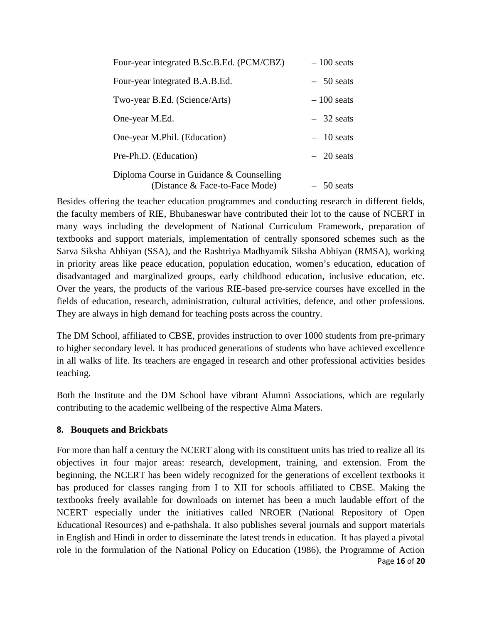| Four-year integrated B.Sc.B.Ed. (PCM/CBZ)                                    | $-100$ seats |
|------------------------------------------------------------------------------|--------------|
| Four-year integrated B.A.B.Ed.                                               | $-50$ seats  |
| Two-year B.Ed. (Science/Arts)                                                | $-100$ seats |
| One-year M.Ed.                                                               | $-32$ seats  |
| One-year M.Phil. (Education)                                                 | $-10$ seats  |
| Pre-Ph.D. (Education)                                                        | $-20$ seats  |
| Diploma Course in Guidance $&$ Counselling<br>(Distance & Face-to-Face Mode) | $-50$ seats  |

Besides offering the teacher education programmes and conducting research in different fields, the faculty members of RIE, Bhubaneswar have contributed their lot to the cause of NCERT in many ways including the development of National Curriculum Framework, preparation of textbooks and support materials, implementation of centrally sponsored schemes such as the Sarva Siksha Abhiyan (SSA), and the Rashtriya Madhyamik Siksha Abhiyan (RMSA), working in priority areas like peace education, population education, women's education, education of disadvantaged and marginalized groups, early childhood education, inclusive education, etc. Over the years, the products of the various RIE-based pre-service courses have excelled in the fields of education, research, administration, cultural activities, defence, and other professions. They are always in high demand for teaching posts across the country.

The DM School, affiliated to CBSE, provides instruction to over 1000 students from pre-primary to higher secondary level. It has produced generations of students who have achieved excellence in all walks of life. Its teachers are engaged in research and other professional activities besides teaching.

Both the Institute and the DM School have vibrant Alumni Associations, which are regularly contributing to the academic wellbeing of the respective Alma Maters.

# **8. Bouquets and Brickbats**

Page **16** of **20** For more than half a century the NCERT along with its constituent units has tried to realize all its objectives in four major areas: research, development, training, and extension. From the beginning, the NCERT has been widely recognized for the generations of excellent textbooks it has produced for classes ranging from I to XII for schools affiliated to CBSE. Making the textbooks freely available for downloads on internet has been a much laudable effort of the NCERT especially under the initiatives called NROER (National Repository of Open Educational Resources) and e-pathshala. It also publishes several journals and support materials in English and Hindi in order to disseminate the latest trends in education. It has played a pivotal role in the formulation of the National Policy on Education (1986), the Programme of Action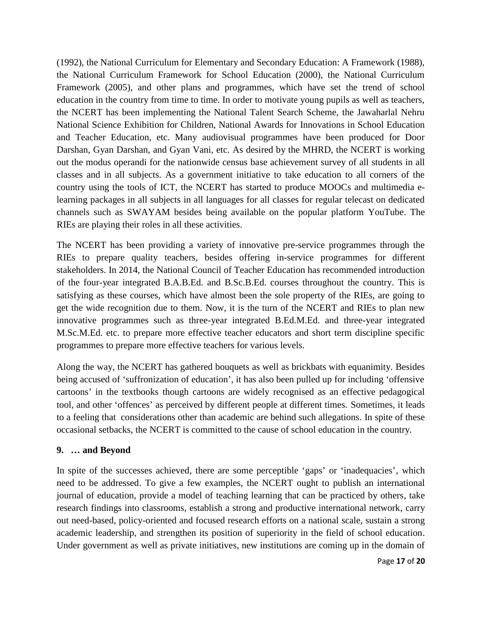(1992), the National Curriculum for Elementary and Secondary Education: A Framework (1988), the National Curriculum Framework for School Education (2000), the National Curriculum Framework (2005), and other plans and programmes, which have set the trend of school education in the country from time to time. In order to motivate young pupils as well as teachers, the NCERT has been implementing the National Talent Search Scheme, the Jawaharlal Nehru National Science Exhibition for Children, National Awards for Innovations in School Education and Teacher Education, etc. Many audiovisual programmes have been produced for Door Darshan, Gyan Darshan, and Gyan Vani, etc. As desired by the MHRD, the NCERT is working out the modus operandi for the nationwide census base achievement survey of all students in all classes and in all subjects. As a government initiative to take education to all corners of the country using the tools of ICT, the NCERT has started to produce MOOCs and multimedia elearning packages in all subjects in all languages for all classes for regular telecast on dedicated channels such as SWAYAM besides being available on the popular platform YouTube. The RIEs are playing their roles in all these activities.

The NCERT has been providing a variety of innovative pre-service programmes through the RIEs to prepare quality teachers, besides offering in-service programmes for different stakeholders. In 2014, the National Council of Teacher Education has recommended introduction of the four-year integrated B.A.B.Ed. and B.Sc.B.Ed. courses throughout the country. This is satisfying as these courses, which have almost been the sole property of the RIEs, are going to get the wide recognition due to them. Now, it is the turn of the NCERT and RIEs to plan new innovative programmes such as three-year integrated B.Ed.M.Ed. and three-year integrated M.Sc.M.Ed. etc. to prepare more effective teacher educators and short term discipline specific programmes to prepare more effective teachers for various levels.

Along the way, the NCERT has gathered bouquets as well as brickbats with equanimity. Besides being accused of 'suffronization of education', it has also been pulled up for including 'offensive cartoons' in the textbooks though cartoons are widely recognised as an effective pedagogical tool, and other 'offences' as perceived by different people at different times. Sometimes, it leads to a feeling that considerations other than academic are behind such allegations. In spite of these occasional setbacks, the NCERT is committed to the cause of school education in the country.

#### **9. … and Beyond**

In spite of the successes achieved, there are some perceptible 'gaps' or 'inadequacies', which need to be addressed. To give a few examples, the NCERT ought to publish an international journal of education, provide a model of teaching learning that can be practiced by others, take research findings into classrooms, establish a strong and productive international network, carry out need-based, policy-oriented and focused research efforts on a national scale, sustain a strong academic leadership, and strengthen its position of superiority in the field of school education. Under government as well as private initiatives, new institutions are coming up in the domain of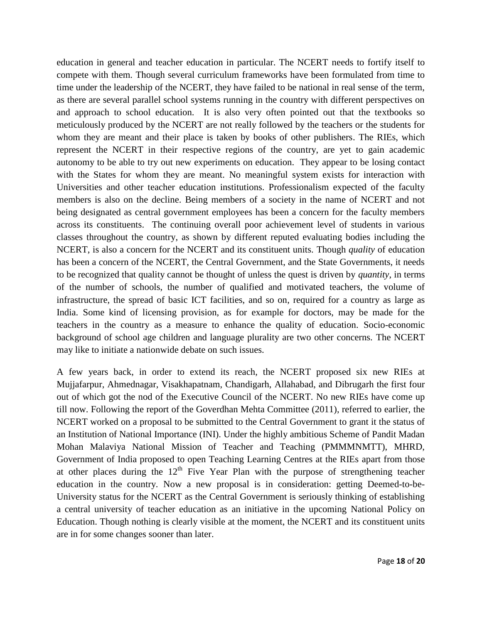education in general and teacher education in particular. The NCERT needs to fortify itself to compete with them. Though several curriculum frameworks have been formulated from time to time under the leadership of the NCERT, they have failed to be national in real sense of the term, as there are several parallel school systems running in the country with different perspectives on and approach to school education. It is also very often pointed out that the textbooks so meticulously produced by the NCERT are not really followed by the teachers or the students for whom they are meant and their place is taken by books of other publishers. The RIEs, which represent the NCERT in their respective regions of the country, are yet to gain academic autonomy to be able to try out new experiments on education. They appear to be losing contact with the States for whom they are meant. No meaningful system exists for interaction with Universities and other teacher education institutions. Professionalism expected of the faculty members is also on the decline. Being members of a society in the name of NCERT and not being designated as central government employees has been a concern for the faculty members across its constituents. The continuing overall poor achievement level of students in various classes throughout the country, as shown by different reputed evaluating bodies including the NCERT, is also a concern for the NCERT and its constituent units. Though *quality* of education has been a concern of the NCERT, the Central Government, and the State Governments, it needs to be recognized that quality cannot be thought of unless the quest is driven by *quantity*, in terms of the number of schools, the number of qualified and motivated teachers, the volume of infrastructure, the spread of basic ICT facilities, and so on, required for a country as large as India. Some kind of licensing provision, as for example for doctors, may be made for the teachers in the country as a measure to enhance the quality of education. Socio-economic background of school age children and language plurality are two other concerns. The NCERT may like to initiate a nationwide debate on such issues.

A few years back, in order to extend its reach, the NCERT proposed six new RIEs at Mujjafarpur, Ahmednagar, Visakhapatnam, Chandigarh, Allahabad, and Dibrugarh the first four out of which got the nod of the Executive Council of the NCERT. No new RIEs have come up till now. Following the report of the Goverdhan Mehta Committee (2011), referred to earlier, the NCERT worked on a proposal to be submitted to the Central Government to grant it the status of an Institution of National Importance (INI). Under the highly ambitious Scheme of Pandit Madan Mohan Malaviya National Mission of Teacher and Teaching (PMMMNMTT), MHRD, Government of India proposed to open Teaching Learning Centres at the RIEs apart from those at other places during the  $12<sup>th</sup>$  Five Year Plan with the purpose of strengthening teacher education in the country. Now a new proposal is in consideration: getting Deemed-to-be- University status for the NCERT as the Central Government is seriously thinking of establishing a central university of teacher education as an initiative in the upcoming National Policy on Education. Though nothing is clearly visible at the moment, the NCERT and its constituent units are in for some changes sooner than later.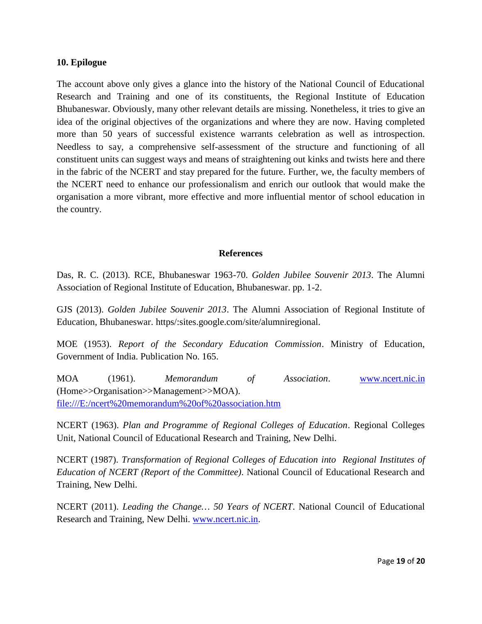#### **10. Epilogue**

The account above only gives a glance into the history of the National Council of Educational Research and Training and one of its constituents, the Regional Institute of Education Bhubaneswar. Obviously, many other relevant details are missing. Nonetheless, it tries to give an idea of the original objectives of the organizations and where they are now. Having completed more than 50 years of successful existence warrants celebration as well as introspection. Needless to say, a comprehensive self-assessment of the structure and functioning of all constituent units can suggest ways and means of straightening out kinks and twists here and there in the fabric of the NCERT and stay prepared for the future. Further, we, the faculty members of the NCERT need to enhance our professionalism and enrich our outlook that would make the organisation a more vibrant, more effective and more influential mentor of school education in the country.

#### **References**

Das, R. C. (2013). RCE, Bhubaneswar 1963-70. *Golden Jubilee Souvenir 2013*. The Alumni Association of Regional Institute of Education, Bhubaneswar. pp. 1-2.

GJS (2013). *Golden Jubilee Souvenir 2013*. The Alumni Association of Regional Institute of Education, Bhubaneswar. https/:sites.google.com/site/alumniregional.

MOE (1953). *Report of the Secondary Education Commission*. Ministry of Education, Government of India. Publication No. 165.

MOA (1961). *Memorandum of Association*. www.ncert.nic.in (Home>>Organisation>>Management>>MOA). file:///E:/ncert%20memorandum%20of%20association.htm

NCERT (1963). *Plan and Programme of Regional Colleges of Education*. Regional Colleges Unit, National Council of Educational Research and Training, New Delhi.

NCERT (1987). *Transformation of Regional Colleges of Education into Regional Institutes of Education of NCERT (Report of the Committee)*. National Council of Educational Research and Training, New Delhi.

NCERT (2011). *Leading the Change… 50 Years of NCERT*. National Council of Educational Research and Training, New Delhi. www.ncert.nic.in.